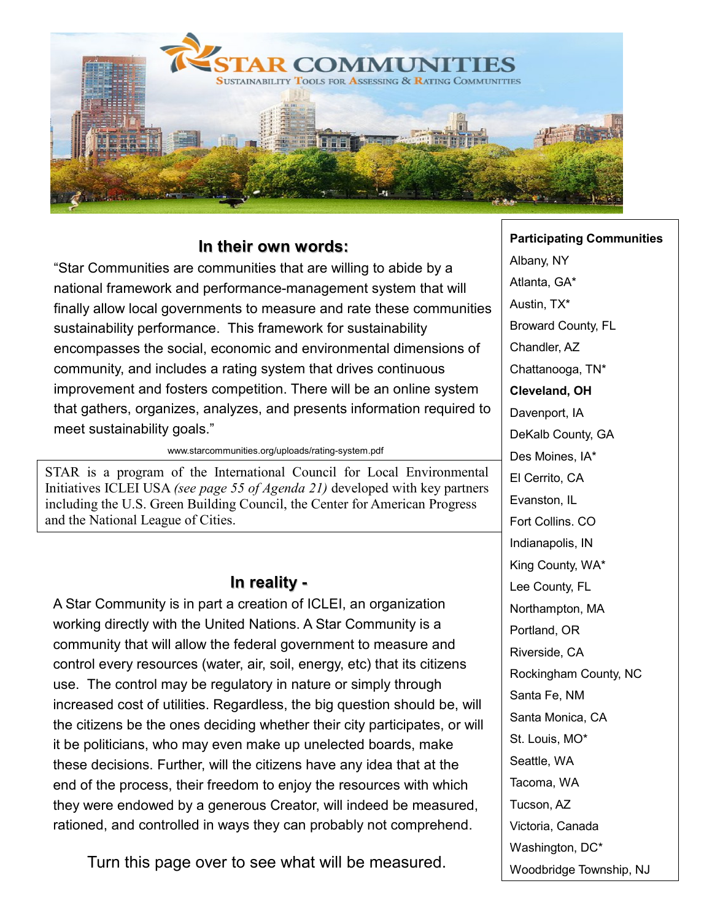

## **In their own words:**

"Star Communities are communities that are willing to abide by a national framework and performance-management system that will finally allow local governments to measure and rate these communities sustainability performance. This framework for sustainability encompasses the social, economic and environmental dimensions of community, and includes a rating system that drives continuous improvement and fosters competition. There will be an online system that gathers, organizes, analyzes, and presents information required to meet sustainability goals."

www.starcommunities.org/uploads/rating-system.pdf

STAR is a program of the International Council for Local Environmental Initiatives ICLEI USA *(see page 55 of Agenda 21)* developed with key partners including the U.S. Green Building Council, the Center for American Progress and the National League of Cities.

## **In reality -**

A Star Community is in part a creation of ICLEI, an organization working directly with the United Nations. A Star Community is a community that will allow the federal government to measure and control every resources (water, air, soil, energy, etc) that its citizens use. The control may be regulatory in nature or simply through increased cost of utilities. Regardless, the big question should be, will the citizens be the ones deciding whether their city participates, or will it be politicians, who may even make up unelected boards, make these decisions. Further, will the citizens have any idea that at the end of the process, their freedom to enjoy the resources with which they were endowed by a generous Creator, will indeed be measured, rationed, and controlled in ways they can probably not comprehend.

Turn this page over to see what will be measured.

#### **Participating Communities**

Albany, NY Atlanta, GA\* Austin, TX\* Broward County, FL Chandler, AZ Chattanooga, TN\* **Cleveland, OH** Davenport, IA DeKalb County, GA Des Moines, IA\* El Cerrito, CA Evanston, IL Fort Collins. CO Indianapolis, IN King County, WA\* Lee County, FL Northampton, MA Portland, OR Riverside, CA Rockingham County, NC Santa Fe, NM Santa Monica, CA St. Louis, MO\* Seattle, WA Tacoma, WA Tucson, AZ Victoria, Canada Washington, DC\* Woodbridge Township, NJ